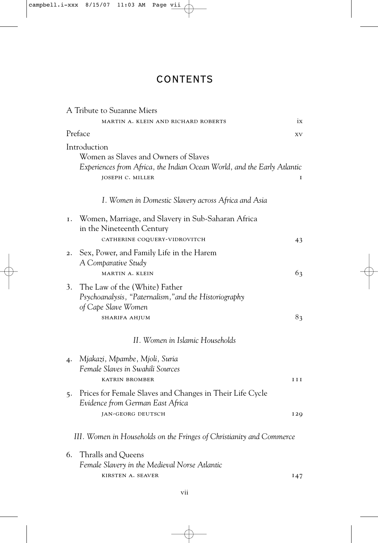## CONTENTS

| A Tribute to Suzanne Miers                                                                                                                                 |            |
|------------------------------------------------------------------------------------------------------------------------------------------------------------|------------|
| MARTIN A. KLEIN AND RICHARD ROBERTS                                                                                                                        | ix         |
| Preface                                                                                                                                                    | XV         |
| Introduction<br>Women as Slaves and Owners of Slaves<br>Experiences from Africa, the Indian Ocean World, and the Early Atlantic<br><b>JOSEPH C. MILLER</b> | I          |
| I. Women in Domestic Slavery across Africa and Asia                                                                                                        |            |
| Women, Marriage, and Slavery in Sub-Saharan Africa<br>I.<br>in the Nineteenth Century<br>CATHERINE COQUERY-VIDROVITCH                                      | 43         |
| Sex, Power, and Family Life in the Harem<br>2.<br>A Comparative Study<br>MARTIN A. KLEIN                                                                   | 63         |
| 3.<br>The Law of the (White) Father<br>Psychoanalysis, "Paternalism," and the Historiography<br>of Cape Slave Women<br><b>SHARIFA AHJUM</b>                | 83         |
| II. Women in Islamic Households                                                                                                                            |            |
| Mjakazi, Mpambe, Mjoli, Suria<br>4.<br>Female Slaves in Swahili Sources<br><b>KATRIN BROMBER</b>                                                           | III        |
| Prices for Female Slaves and Changes in Their Life Cycle<br>5.<br>Evidence from German East Africa<br><b>JAN-GEORG DEUTSCH</b>                             | <b>I20</b> |
| III. Women in Households on the Fringes of Christianity and Commerce                                                                                       |            |
| Thralls and Queens<br>6.<br>Female Slavery in the Medieval Norse Atlantic                                                                                  |            |
| KIRSTEN A. SEAVER                                                                                                                                          | 147        |